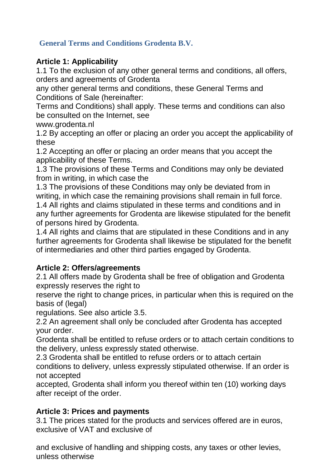## **General Terms and Conditions Grodenta B.V.**

### **Article 1: Applicability**

1.1 To the exclusion of any other general terms and conditions, all offers, orders and agreements of Grodenta

any other general terms and conditions, these General Terms and Conditions of Sale (hereinafter:

Terms and Conditions) shall apply. These terms and conditions can also be consulted on the Internet, see

www.grodenta.nl

1.2 By accepting an offer or placing an order you accept the applicability of these

1.2 Accepting an offer or placing an order means that you accept the applicability of these Terms.

1.3 The provisions of these Terms and Conditions may only be deviated from in writing, in which case the

1.3 The provisions of these Conditions may only be deviated from in writing, in which case the remaining provisions shall remain in full force. 1.4 All rights and claims stipulated in these terms and conditions and in any further agreements for Grodenta are likewise stipulated for the benefit of persons hired by Grodenta.

1.4 All rights and claims that are stipulated in these Conditions and in any further agreements for Grodenta shall likewise be stipulated for the benefit of intermediaries and other third parties engaged by Grodenta.

### **Article 2: Offers/agreements**

2.1 All offers made by Grodenta shall be free of obligation and Grodenta expressly reserves the right to

reserve the right to change prices, in particular when this is required on the basis of (legal)

regulations. See also article 3.5.

2.2 An agreement shall only be concluded after Grodenta has accepted your order.

Grodenta shall be entitled to refuse orders or to attach certain conditions to the delivery, unless expressly stated otherwise.

2.3 Grodenta shall be entitled to refuse orders or to attach certain conditions to delivery, unless expressly stipulated otherwise. If an order is not accepted

accepted, Grodenta shall inform you thereof within ten (10) working days after receipt of the order.

### **Article 3: Prices and payments**

3.1 The prices stated for the products and services offered are in euros, exclusive of VAT and exclusive of

and exclusive of handling and shipping costs, any taxes or other levies, unless otherwise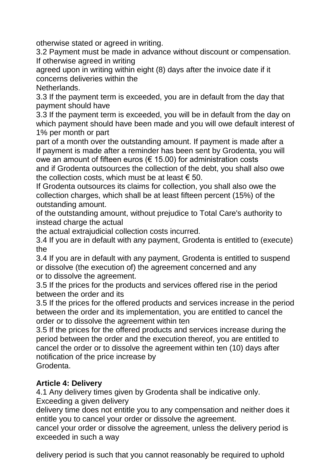otherwise stated or agreed in writing.

3.2 Payment must be made in advance without discount or compensation. If otherwise agreed in writing

agreed upon in writing within eight (8) days after the invoice date if it concerns deliveries within the

Netherlands.

3.3 If the payment term is exceeded, you are in default from the day that payment should have

3.3 If the payment term is exceeded, you will be in default from the day on which payment should have been made and you will owe default interest of 1% per month or part

part of a month over the outstanding amount. If payment is made after a If payment is made after a reminder has been sent by Grodenta, you will owe an amount of fifteen euros ( $\epsilon$  15.00) for administration costs and if Grodenta outsources the collection of the debt, you shall also owe the collection costs, which must be at least  $\epsilon$  50.

If Grodenta outsources its claims for collection, you shall also owe the collection charges, which shall be at least fifteen percent (15%) of the outstanding amount.

of the outstanding amount, without prejudice to Total Care's authority to instead charge the actual

the actual extrajudicial collection costs incurred.

3.4 If you are in default with any payment, Grodenta is entitled to (execute) the

3.4 If you are in default with any payment, Grodenta is entitled to suspend or dissolve (the execution of) the agreement concerned and any or to dissolve the agreement.

3.5 If the prices for the products and services offered rise in the period between the order and its

3.5 If the prices for the offered products and services increase in the period between the order and its implementation, you are entitled to cancel the order or to dissolve the agreement within ten

3.5 If the prices for the offered products and services increase during the period between the order and the execution thereof, you are entitled to cancel the order or to dissolve the agreement within ten (10) days after notification of the price increase by Grodenta.

### **Article 4: Delivery**

4.1 Any delivery times given by Grodenta shall be indicative only.

Exceeding a given delivery

delivery time does not entitle you to any compensation and neither does it entitle you to cancel your order or dissolve the agreement.

cancel your order or dissolve the agreement, unless the delivery period is exceeded in such a way

delivery period is such that you cannot reasonably be required to uphold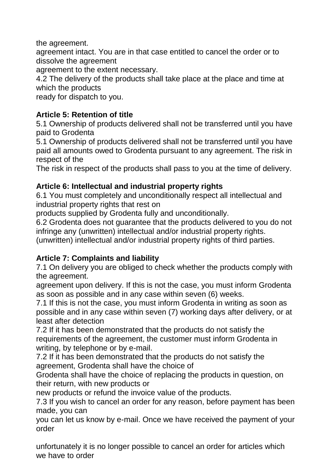the agreement.

agreement intact. You are in that case entitled to cancel the order or to dissolve the agreement

agreement to the extent necessary.

4.2 The delivery of the products shall take place at the place and time at which the products

ready for dispatch to you.

## **Article 5: Retention of title**

5.1 Ownership of products delivered shall not be transferred until you have paid to Grodenta

5.1 Ownership of products delivered shall not be transferred until you have paid all amounts owed to Grodenta pursuant to any agreement. The risk in respect of the

The risk in respect of the products shall pass to you at the time of delivery.

### **Article 6: Intellectual and industrial property rights**

6.1 You must completely and unconditionally respect all intellectual and industrial property rights that rest on

products supplied by Grodenta fully and unconditionally.

6.2 Grodenta does not guarantee that the products delivered to you do not infringe any (unwritten) intellectual and/or industrial property rights.

(unwritten) intellectual and/or industrial property rights of third parties.

### **Article 7: Complaints and liability**

7.1 On delivery you are obliged to check whether the products comply with the agreement.

agreement upon delivery. If this is not the case, you must inform Grodenta as soon as possible and in any case within seven (6) weeks.

7.1 If this is not the case, you must inform Grodenta in writing as soon as possible and in any case within seven (7) working days after delivery, or at least after detection

7.2 If it has been demonstrated that the products do not satisfy the requirements of the agreement, the customer must inform Grodenta in writing, by telephone or by e-mail.

7.2 If it has been demonstrated that the products do not satisfy the agreement, Grodenta shall have the choice of

Grodenta shall have the choice of replacing the products in question, on their return, with new products or

new products or refund the invoice value of the products.

7.3 If you wish to cancel an order for any reason, before payment has been made, you can

you can let us know by e-mail. Once we have received the payment of your order

unfortunately it is no longer possible to cancel an order for articles which we have to order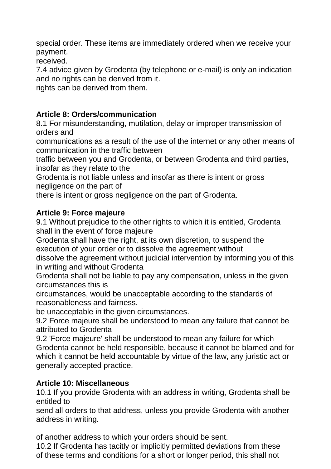special order. These items are immediately ordered when we receive your payment.

received.

7.4 advice given by Grodenta (by telephone or e-mail) is only an indication and no rights can be derived from it.

rights can be derived from them.

# **Article 8: Orders/communication**

8.1 For misunderstanding, mutilation, delay or improper transmission of orders and

communications as a result of the use of the internet or any other means of communication in the traffic between

traffic between you and Grodenta, or between Grodenta and third parties, insofar as they relate to the

Grodenta is not liable unless and insofar as there is intent or gross negligence on the part of

there is intent or gross negligence on the part of Grodenta.

## **Article 9: Force majeure**

9.1 Without prejudice to the other rights to which it is entitled, Grodenta shall in the event of force majeure

Grodenta shall have the right, at its own discretion, to suspend the execution of your order or to dissolve the agreement without

dissolve the agreement without judicial intervention by informing you of this in writing and without Grodenta

Grodenta shall not be liable to pay any compensation, unless in the given circumstances this is

circumstances, would be unacceptable according to the standards of reasonableness and fairness.

be unacceptable in the given circumstances.

9.2 Force majeure shall be understood to mean any failure that cannot be attributed to Grodenta

9.2 'Force majeure' shall be understood to mean any failure for which Grodenta cannot be held responsible, because it cannot be blamed and for which it cannot be held accountable by virtue of the law, any juristic act or generally accepted practice.

### **Article 10: Miscellaneous**

10.1 If you provide Grodenta with an address in writing, Grodenta shall be entitled to

send all orders to that address, unless you provide Grodenta with another address in writing.

of another address to which your orders should be sent.

10.2 If Grodenta has tacitly or implicitly permitted deviations from these of these terms and conditions for a short or longer period, this shall not